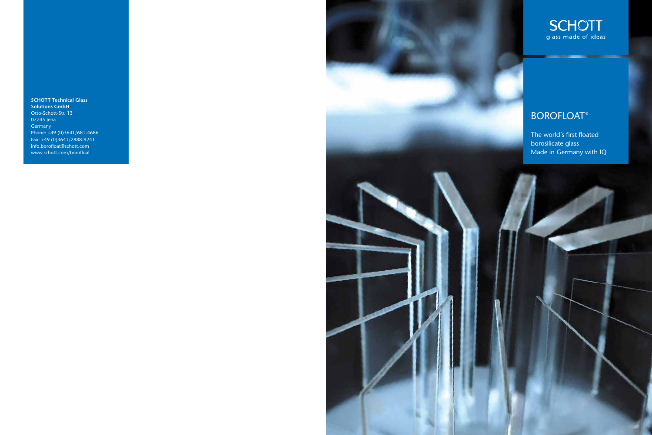**SCHOTT Technical Glass Solutions GmbH** Otto-Schott-Str. 13 07745 Jena Germany Phone: +49 (0)3641/681-4686 Fax: +49 (0)3641/2888-9241 info.borofloat@schott.com www.schott.com/borofloat





## **BOROFLOAT®**

The world´s first floated borosilicate glass – Made in Germany with IQ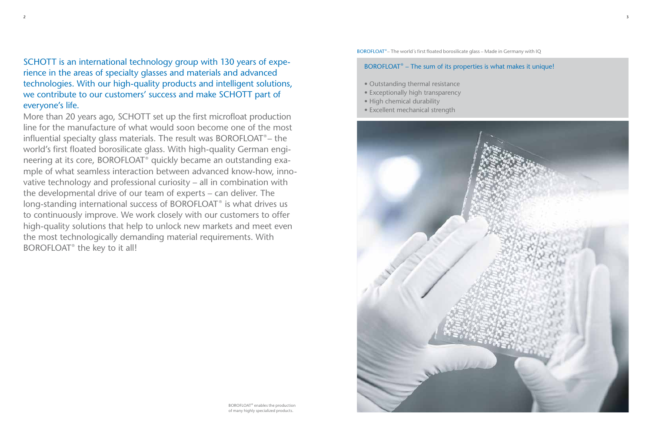## BOROFLOAT® – The sum of its properties is what makes it unique!

- Outstanding thermal resistance
- Exceptionally high transparency
- High chemical durability
- Excellent mechanical strength



SCHOTT is an international technology group with 130 years of experience in the areas of specialty glasses and materials and advanced technologies. With our high-quality products and intelligent solutions, we contribute to our customers' success and make SCHOTT part of everyone's life.

More than 20 years ago, SCHOTT set up the first microfloat production line for the manufacture of what would soon become one of the most influential specialty glass materials. The result was BOROFLOAT® – the world's first floated borosilicate glass. With high-quality German engineering at its core, BOROFLOAT® quickly became an outstanding example of what seamless interaction between advanced know-how, innovative technology and professional curiosity – all in combination with the developmental drive of our team of experts – can deliver. The long-standing international success of BOROFLOAT<sup>®</sup> is what drives us to continuously improve. We work closely with our customers to offer high-quality solutions that help to unlock new markets and meet even the most technologically demanding material requirements. With BOROFLOAT® the key to it all!

BOROFLOAT®– The world´s first floated borosilicate glass – Made in Germany with IQ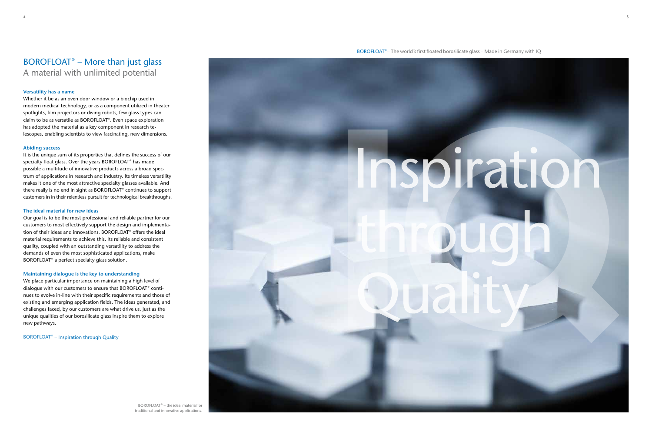## BOROFLOAT® – More than just glass A material with unlimited potential

## **Versatility has a name**

Whether it be as an oven door window or a biochip used in modern medical technology, or as a component utilized in theater spotlights, film projectors or diving robots, few glass types can claim to be as versatile as BOROFLOAT ® . Even space exploration has adopted the material as a key component in research telescopes, enabling scientists to view fascinating, new dimensions.

## **Abiding success**

Our goal is to be the most professional and reliable partner for our customers to most effectively support the design and implementation of their ideas and innovations. BOROFLOAT® offers the ideal material requirements to achieve this. Its reliable and consistent quality, coupled with an outstanding versatility to address the demands of even the most sophisticated applications, make BOROFLOAT<sup>®</sup> a perfect specialty glass solution.

It is the unique sum of its properties that defines the success of our specialty float glass. Over the years BOROFLOAT® has made possible a multitude of innovative products across a broad spectrum of applications in research and industry. Its timeless versatility makes it one of the most attractive specialty glasses available. And there really is no end in sight as BOROFLOAT $^\circ$  continues to support customers in in their relentless pursuit for technological breakthroughs.

### **The ideal material for new ideas**

### **Maintaining dialogue is the key to understanding**

We place particular importance on maintaining a high level of dialogue with our customers to ensure that BOROFLOAT® continues to evolve in-line with their specific requirements and those of existing and emerging application fields. The ideas generated, and challenges faced, by our customers are what drive us. Just as the unique qualities of our borosilicate glass inspire them to explore new pathways.

BOROFLOAT<sup>®</sup> – Inspiration through Quality

BOROFLOAT®– The world´s first floated borosilicate glass – Made in Germany with IQ



BOROFLOAT® – the ideal material for traditional and innovative applications.

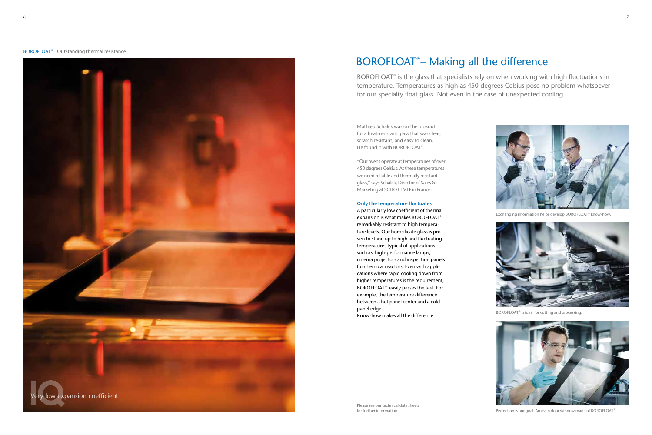# BOROFLOAT® – Making all the difference





Exchanging information helps develop BOROFLOAT® know-how.



BOROFLOAT® is ideal for cutting and processing.



Perfection is our goal. An oven door window made of BOROFLOAT®.

Mathieu Schalck was on the lookout for a heat-resistant glass that was clear, scratch resistant, and easy to clean. He found it with BOROFLOAT® .

"Our ovens operate at temperatures of over 450 degrees Celsius. At these temperatures we need reliable and thermally resistant glass," says Schalck, Director of Sales & Marketing at SCHOTT VTF in France.

## **Only the temperature fluctuates**

A particularly low coefficient of thermal expansion is what makes BOROFLOAT® remarkably resistant to high temperature levels. Our borosilicate glass is proven to stand up to high and fluctuating temperatures typical of applications such as high-performance lamps, cinema projectors and inspection panels for chemical reactors. Even with applications where rapid cooling down from higher temperatures is the requirement, BOROFLOAT<sup>®</sup> easily passes the test. For example, the temperature difference between a hot panel center and a cold panel edge.

Know-how makes all the difference.



BOROFLOAT® is the glass that specialists rely on when working with high fluctuations in temperature. Temperatures as high as 450 degrees Celsius pose no problem whatsoever for our specialty float glass. Not even in the case of unexpected cooling.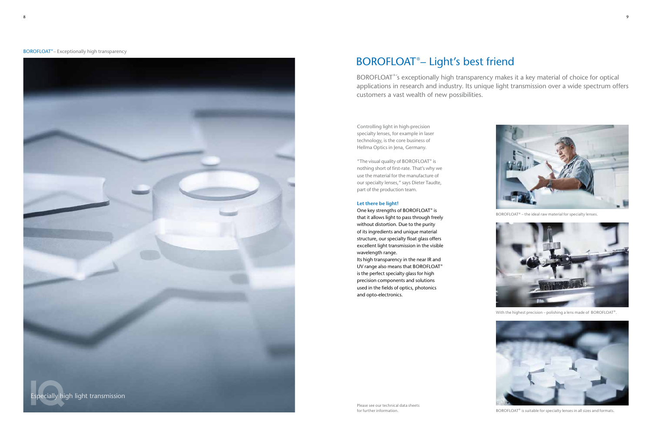#### **BOROFLOAT<sup>®</sup> – Exceptionally high transparency**

Controlling light in high-precision specialty lenses, for example in laser technology, is the core business of Hellma Optics in Jena, Germany.

"The visual quality of BOROFLOAT $\degree$  is nothing short of first-rate. That's why we use the material for the manufacture of our specialty lenses," says Dieter Taudte, part of the production team.

One key strengths of BOROFLOAT<sup>®</sup> is that it allows light to pass through freely without distortion. Due to the purity of its ingredients and unique material structure, our specialty float glass offers excellent light transmission in the visible wavelength range.

## **Let there be light!**

BOROFLOAT<sup>®</sup>'s exceptionally high transparency makes it a key material of choice for optical applications in research and industry. Its unique light transmission over a wide spectrum offers customers a vast wealth of new possibilities.

Its high transparency in the near IR and UV range also means that BOROFLOAT<sup>®</sup> is the perfect specialty glass for high precision components and solutions used in the fields of optics, photonics and opto-electronics.

# BOROFLOAT® – Light's best friend



BOROFLOAT® – the ideal raw material for specialty lenses.



With the highest precision – polishing a lens made of BOROFLOAT®.



BOROFLOAT® is suitable for specialty lenses in all sizes and formats.

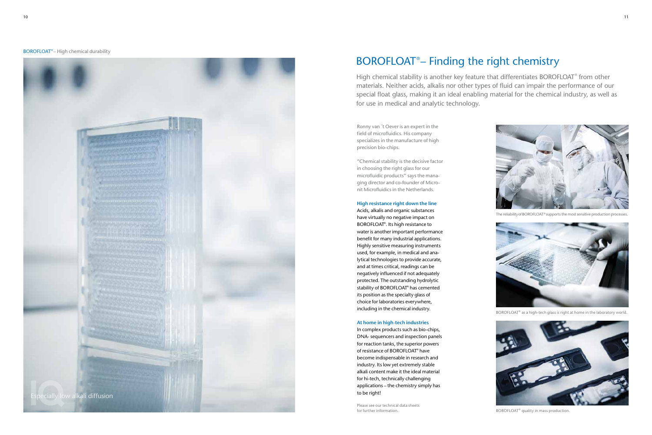Ronny van ´t Oever is an expert in the field of microfluidics. His company specializes in the manufacture of high precision bio-chips.

"Chemical stability is the decisive factor in choosing the right glass for our microfluidic products" says the managing director and co-founder of Micronit Microfluidics in the Netherlands.

**High resistance right down the line**

Acids, alkalis and organic substances have virtually no negative impact on BOROFLOAT® . Its high resistance to water is another important performance benefit for many industrial applications. Highly sensitive measuring instruments used, for example, in medical and analytical technologies to provide accurate, and at times critical, readings can be negatively influenced if not adequately protected. The outstanding hydrolytic stability of BOROFLOAT® has cemented its position as the specialty glass of choice for laboratories everywhere, including in the chemical industry.

### **At home in high-tech industries**

In complex products such as bio-chips, DNA- sequencers and inspection panels for reaction tanks, the superior powers of resistance of BOROFLOAT® have become indispensable in research and industry. Its low yet extremely stable alkali content make it the ideal material for hi-tech, technically challenging applications – the chemistry simply has to be right!

# BOROFLOAT® – Finding the right chemistry



BOROFLOAT® as a high-tech glass is right at home in the laboratory world.



BOROFLOAT® quality in mass production.



High chemical stability is another key feature that differentiates BOROFLOAT® from other materials. Neither acids, alkalis nor other types of fluid can impair the performance of our special float glass, making it an ideal enabling material for the chemical industry, as well as for use in medical and analytic technology.

Please see our technical data sheets for further information.



The reliability of BOROFLOAT® supports the most sensitive production processes.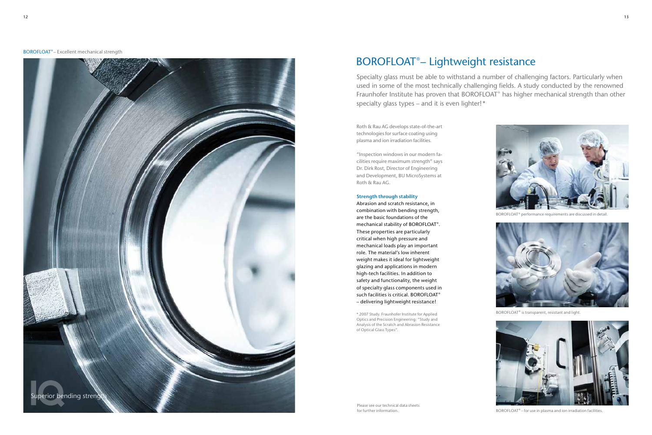Roth & Rau AG develops state-of-the-art technologies for surface coating using plasma and ion irradiation facilities.

"Inspection windows in our modern facilities require maximum strength" says Dr. Dirk Rost, Director of Engineering and Development, BU MicroSystems at Roth & Rau AG.

## **Strength through stability**

Abrasion and scratch resistance, in combination with bending strength, are the basic foundations of the mechanical stability of BOROFLOAT®. These properties are particularly critical when high pressure and mechanical loads play an important role. The material's low inherent weight makes it ideal for lightweight glazing and applications in modern high-tech facilities. In addition to safety and functionality, the weight of specialty glass components used in such facilities is critical. BOROFLOAT® – delivering lightweight resistance!

\* 2007 Study. Fraunhofer Institute for Applied Optics and Precision Engineering: "Study and Analysis of the Scratch and Abrasion Resistance of Optical Glass Types".

# BOROFLOAT® – Lightweight resistance





BOROFLOAT® performance requirements are discussed in detail.



BOROFLOAT® is transparent, resistant and light.



BOROFLOAT® – for use in plasma and ion irradiation facilities.

Specialty glass must be able to withstand a number of challenging factors. Particularly when used in some of the most technically challenging fields. A study conducted by the renowned Fraunhofer Institute has proven that BOROFLOAT<sup>®</sup> has higher mechanical strength than other specialty glass types – and it is even lighter!\*